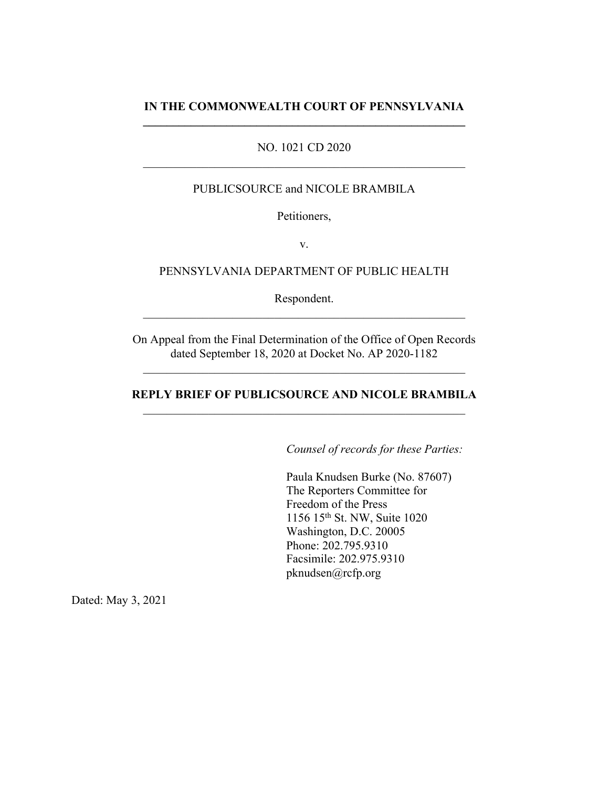### **IN THE COMMONWEALTH COURT OF PENNSYLVANIA \_\_\_\_\_\_\_\_\_\_\_\_\_\_\_\_\_\_\_\_\_\_\_\_\_\_\_\_\_\_\_\_\_\_\_\_\_\_\_\_\_\_\_\_\_\_\_\_\_\_\_\_\_\_**

### NO. 1021 CD 2020

### PUBLICSOURCE and NICOLE BRAMBILA

Petitioners,

v.

#### PENNSYLVANIA DEPARTMENT OF PUBLIC HEALTH

Respondent.

On Appeal from the Final Determination of the Office of Open Records dated September 18, 2020 at Docket No. AP 2020-1182

### **REPLY BRIEF OF PUBLICSOURCE AND NICOLE BRAMBILA**

*Counsel of records for these Parties:*

Paula Knudsen Burke (No. 87607) The Reporters Committee for Freedom of the Press 1156 15th St. NW, Suite 1020 Washington, D.C. 20005 Phone: 202.795.9310 Facsimile: 202.975.9310 pknudsen@rcfp.org

Dated: May 3, 2021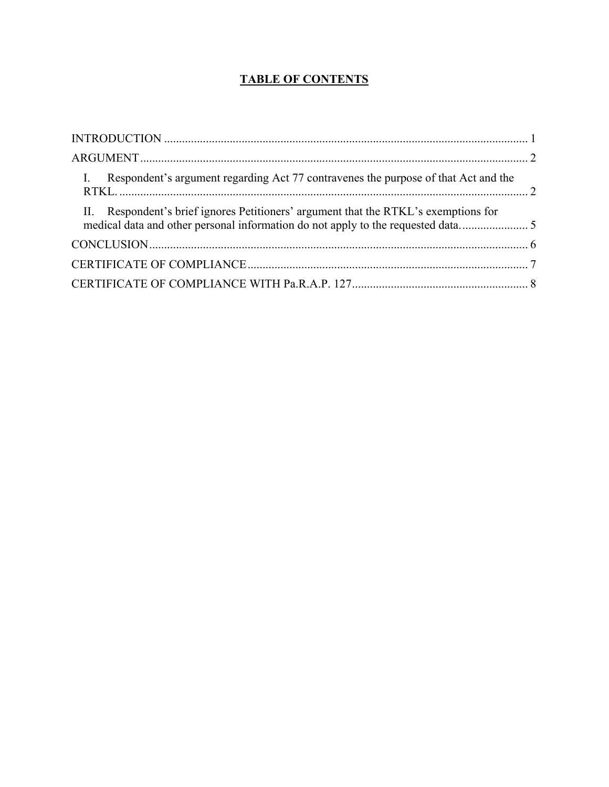# **TABLE OF CONTENTS**

| I. Respondent's argument regarding Act 77 contravenes the purpose of that Act and the                                                                                 |  |
|-----------------------------------------------------------------------------------------------------------------------------------------------------------------------|--|
| II. Respondent's brief ignores Petitioners' argument that the RTKL's exemptions for<br>medical data and other personal information do not apply to the requested data |  |
|                                                                                                                                                                       |  |
|                                                                                                                                                                       |  |
|                                                                                                                                                                       |  |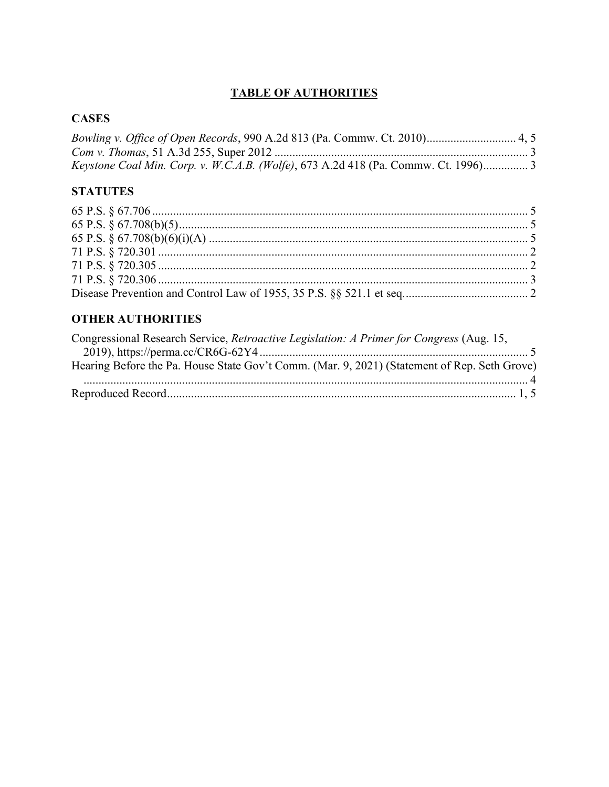## **TABLE OF AUTHORITIES**

## **CASES**

| Keystone Coal Min. Corp. v. W.C.A.B. (Wolfe), 673 A.2d 418 (Pa. Commw. Ct. 1996) 3 |  |
|------------------------------------------------------------------------------------|--|

# **STATUTES**

## **OTHER AUTHORITIES**

| Congressional Research Service, Retroactive Legislation: A Primer for Congress (Aug. 15,     |  |
|----------------------------------------------------------------------------------------------|--|
|                                                                                              |  |
| Hearing Before the Pa. House State Gov't Comm. (Mar. 9, 2021) (Statement of Rep. Seth Grove) |  |
|                                                                                              |  |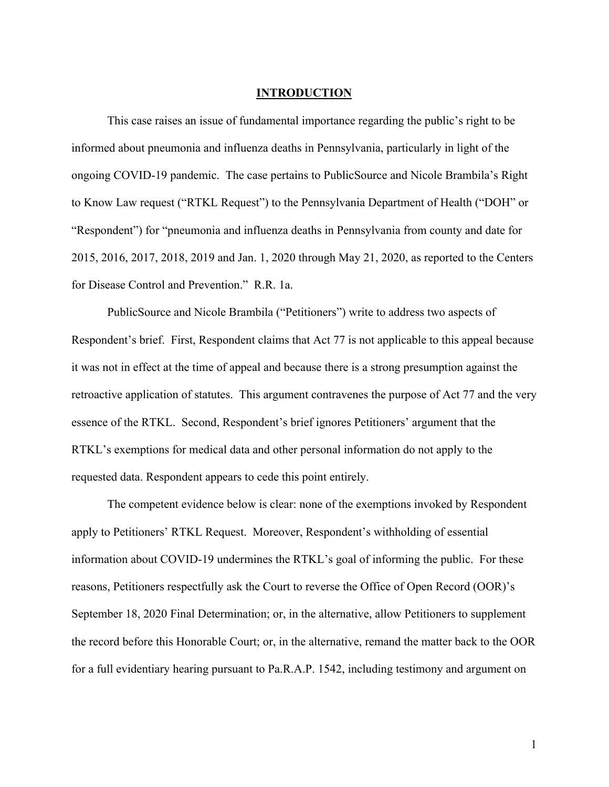### **INTRODUCTION**

This case raises an issue of fundamental importance regarding the public's right to be informed about pneumonia and influenza deaths in Pennsylvania, particularly in light of the ongoing COVID-19 pandemic. The case pertains to PublicSource and Nicole Brambila's Right to Know Law request ("RTKL Request") to the Pennsylvania Department of Health ("DOH" or "Respondent") for "pneumonia and influenza deaths in Pennsylvania from county and date for 2015, 2016, 2017, 2018, 2019 and Jan. 1, 2020 through May 21, 2020, as reported to the Centers for Disease Control and Prevention." R.R. 1a.

PublicSource and Nicole Brambila ("Petitioners") write to address two aspects of Respondent's brief. First, Respondent claims that Act 77 is not applicable to this appeal because it was not in effect at the time of appeal and because there is a strong presumption against the retroactive application of statutes. This argument contravenes the purpose of Act 77 and the very essence of the RTKL. Second, Respondent's brief ignores Petitioners' argument that the RTKL's exemptions for medical data and other personal information do not apply to the requested data. Respondent appears to cede this point entirely.

The competent evidence below is clear: none of the exemptions invoked by Respondent apply to Petitioners' RTKL Request. Moreover, Respondent's withholding of essential information about COVID-19 undermines the RTKL's goal of informing the public. For these reasons, Petitioners respectfully ask the Court to reverse the Office of Open Record (OOR)'s September 18, 2020 Final Determination; or, in the alternative, allow Petitioners to supplement the record before this Honorable Court; or, in the alternative, remand the matter back to the OOR for a full evidentiary hearing pursuant to Pa.R.A.P. 1542, including testimony and argument on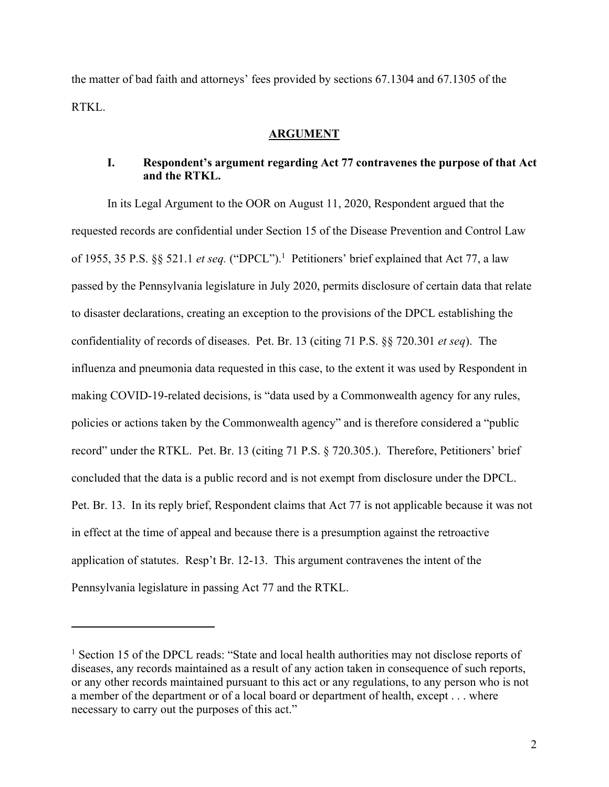the matter of bad faith and attorneys' fees provided by sections 67.1304 and 67.1305 of the RTKL.

#### **ARGUMENT**

### **I. Respondent's argument regarding Act 77 contravenes the purpose of that Act and the RTKL.**

In its Legal Argument to the OOR on August 11, 2020, Respondent argued that the requested records are confidential under Section 15 of the Disease Prevention and Control Law of 1955, 35 P.S. §§ 521.1 *et seq.* ("DPCL").1 Petitioners' brief explained that Act 77, a law passed by the Pennsylvania legislature in July 2020, permits disclosure of certain data that relate to disaster declarations, creating an exception to the provisions of the DPCL establishing the confidentiality of records of diseases. Pet. Br. 13 (citing 71 P.S. §§ 720.301 *et seq*). The influenza and pneumonia data requested in this case, to the extent it was used by Respondent in making COVID-19-related decisions, is "data used by a Commonwealth agency for any rules, policies or actions taken by the Commonwealth agency" and is therefore considered a "public record" under the RTKL. Pet. Br. 13 (citing 71 P.S. § 720.305.). Therefore, Petitioners' brief concluded that the data is a public record and is not exempt from disclosure under the DPCL. Pet. Br. 13. In its reply brief, Respondent claims that Act 77 is not applicable because it was not in effect at the time of appeal and because there is a presumption against the retroactive application of statutes. Resp't Br. 12-13. This argument contravenes the intent of the Pennsylvania legislature in passing Act 77 and the RTKL.

<sup>&</sup>lt;sup>1</sup> Section 15 of the DPCL reads: "State and local health authorities may not disclose reports of diseases, any records maintained as a result of any action taken in consequence of such reports, or any other records maintained pursuant to this act or any regulations, to any person who is not a member of the department or of a local board or department of health, except . . . where necessary to carry out the purposes of this act."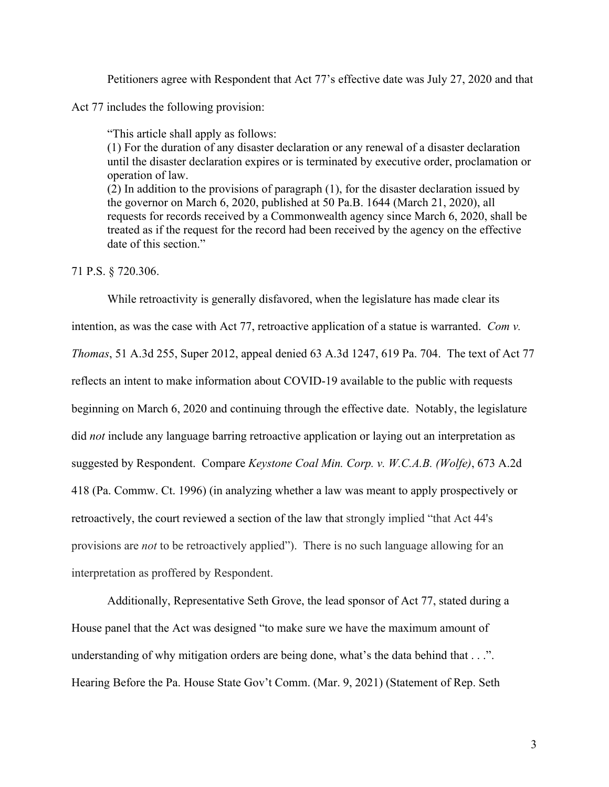Petitioners agree with Respondent that Act 77's effective date was July 27, 2020 and that

Act 77 includes the following provision:

"This article shall apply as follows: (1) For the duration of any disaster declaration or any renewal of a disaster declaration until the disaster declaration expires or is terminated by executive order, proclamation or operation of law. (2) In addition to the provisions of paragraph (1), for the disaster declaration issued by the governor on March 6, 2020, published at 50 Pa.B. 1644 (March 21, 2020), all requests for records received by a Commonwealth agency since March 6, 2020, shall be treated as if the request for the record had been received by the agency on the effective date of this section."

#### 71 P.S. § 720.306.

While retroactivity is generally disfavored, when the legislature has made clear its intention, as was the case with Act 77, retroactive application of a statue is warranted. *Com v. Thomas*, 51 A.3d 255, Super 2012, appeal denied 63 A.3d 1247, 619 Pa. 704. The text of Act 77 reflects an intent to make information about COVID-19 available to the public with requests beginning on March 6, 2020 and continuing through the effective date. Notably, the legislature did *not* include any language barring retroactive application or laying out an interpretation as suggested by Respondent. Compare *Keystone Coal Min. Corp. v. W.C.A.B. (Wolfe)*, 673 A.2d 418 (Pa. Commw. Ct. 1996) (in analyzing whether a law was meant to apply prospectively or retroactively, the court reviewed a section of the law that strongly implied "that Act 44's provisions are *not* to be retroactively applied"). There is no such language allowing for an interpretation as proffered by Respondent.

Additionally, Representative Seth Grove, the lead sponsor of Act 77, stated during a House panel that the Act was designed "to make sure we have the maximum amount of understanding of why mitigation orders are being done, what's the data behind that . . .". Hearing Before the Pa. House State Gov't Comm. (Mar. 9, 2021) (Statement of Rep. Seth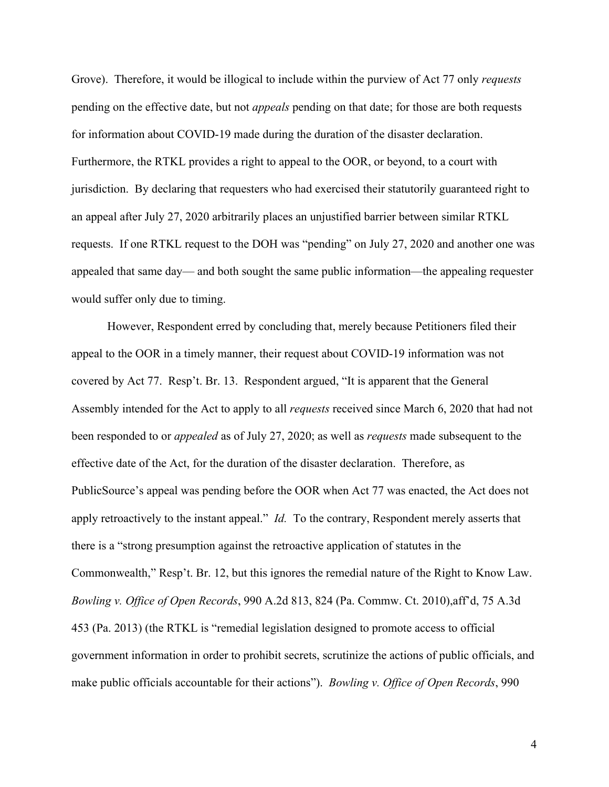Grove). Therefore, it would be illogical to include within the purview of Act 77 only *requests*  pending on the effective date, but not *appeals* pending on that date; for those are both requests for information about COVID-19 made during the duration of the disaster declaration. Furthermore, the RTKL provides a right to appeal to the OOR, or beyond, to a court with jurisdiction. By declaring that requesters who had exercised their statutorily guaranteed right to an appeal after July 27, 2020 arbitrarily places an unjustified barrier between similar RTKL requests. If one RTKL request to the DOH was "pending" on July 27, 2020 and another one was appealed that same day— and both sought the same public information—the appealing requester would suffer only due to timing.

However, Respondent erred by concluding that, merely because Petitioners filed their appeal to the OOR in a timely manner, their request about COVID-19 information was not covered by Act 77. Resp't. Br. 13. Respondent argued, "It is apparent that the General Assembly intended for the Act to apply to all *requests* received since March 6, 2020 that had not been responded to or *appealed* as of July 27, 2020; as well as *requests* made subsequent to the effective date of the Act, for the duration of the disaster declaration. Therefore, as PublicSource's appeal was pending before the OOR when Act 77 was enacted, the Act does not apply retroactively to the instant appeal." *Id.* To the contrary, Respondent merely asserts that there is a "strong presumption against the retroactive application of statutes in the Commonwealth," Resp't. Br. 12, but this ignores the remedial nature of the Right to Know Law. *Bowling v. Office of Open Records*, 990 A.2d 813, 824 (Pa. Commw. Ct. 2010),aff'd, 75 A.3d 453 (Pa. 2013) (the RTKL is "remedial legislation designed to promote access to official government information in order to prohibit secrets, scrutinize the actions of public officials, and make public officials accountable for their actions"). *Bowling v. Office of Open Records*, 990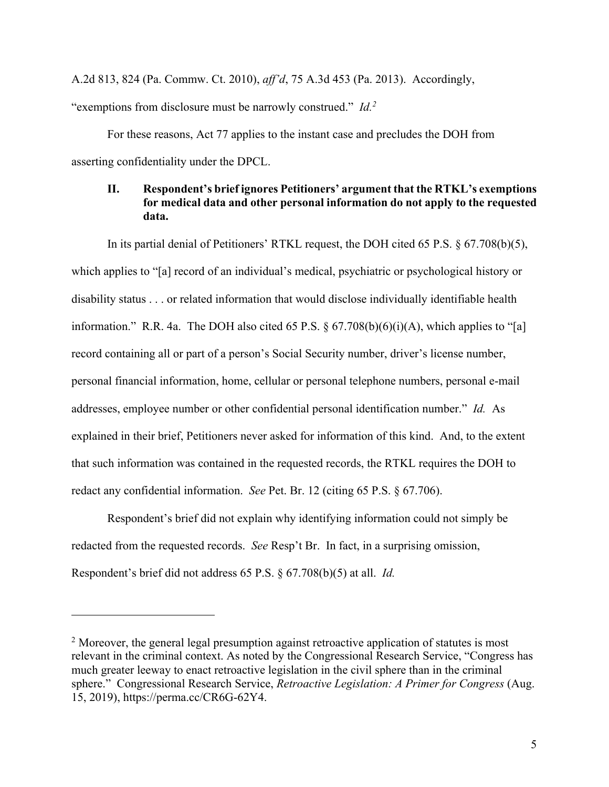A.2d 813, 824 (Pa. Commw. Ct. 2010), *aff'd*, 75 A.3d 453 (Pa. 2013). Accordingly, "exemptions from disclosure must be narrowly construed." *Id.*<sup>2</sup>

For these reasons, Act 77 applies to the instant case and precludes the DOH from asserting confidentiality under the DPCL.

### **II. Respondent's brief ignores Petitioners' argument that the RTKL's exemptions for medical data and other personal information do not apply to the requested data.**

In its partial denial of Petitioners' RTKL request, the DOH cited 65 P.S. § 67.708(b)(5), which applies to "[a] record of an individual's medical, psychiatric or psychological history or disability status . . . or related information that would disclose individually identifiable health information." R.R. 4a. The DOH also cited 65 P.S.  $\S$  67.708(b)(6)(i)(A), which applies to "[a] record containing all or part of a person's Social Security number, driver's license number, personal financial information, home, cellular or personal telephone numbers, personal e-mail addresses, employee number or other confidential personal identification number." *Id.* As explained in their brief, Petitioners never asked for information of this kind. And, to the extent that such information was contained in the requested records, the RTKL requires the DOH to redact any confidential information. *See* Pet. Br. 12 (citing 65 P.S. § 67.706).

Respondent's brief did not explain why identifying information could not simply be redacted from the requested records. *See* Resp't Br. In fact, in a surprising omission, Respondent's brief did not address 65 P.S. § 67.708(b)(5) at all. *Id.*

 $2$  Moreover, the general legal presumption against retroactive application of statutes is most relevant in the criminal context. As noted by the Congressional Research Service, "Congress has much greater leeway to enact retroactive legislation in the civil sphere than in the criminal sphere." Congressional Research Service, *Retroactive Legislation: A Primer for Congress* (Aug. 15, 2019), https://perma.cc/CR6G-62Y4.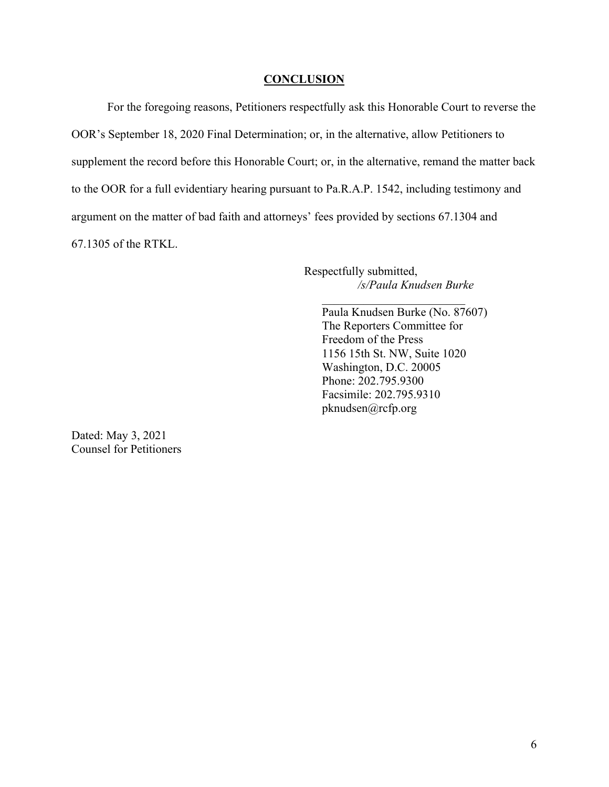#### **CONCLUSION**

For the foregoing reasons, Petitioners respectfully ask this Honorable Court to reverse the OOR's September 18, 2020 Final Determination; or, in the alternative, allow Petitioners to supplement the record before this Honorable Court; or, in the alternative, remand the matter back to the OOR for a full evidentiary hearing pursuant to Pa.R.A.P. 1542, including testimony and argument on the matter of bad faith and attorneys' fees provided by sections 67.1304 and 67.1305 of the RTKL.

> Respectfully submitted, */s/Paula Knudsen Burke*

Paula Knudsen Burke (No. 87607) The Reporters Committee for Freedom of the Press 1156 15th St. NW, Suite 1020 Washington, D.C. 20005 Phone: 202.795.9300 Facsimile: 202.795.9310 pknudsen@rcfp.org

Dated: May 3, 2021 Counsel for Petitioners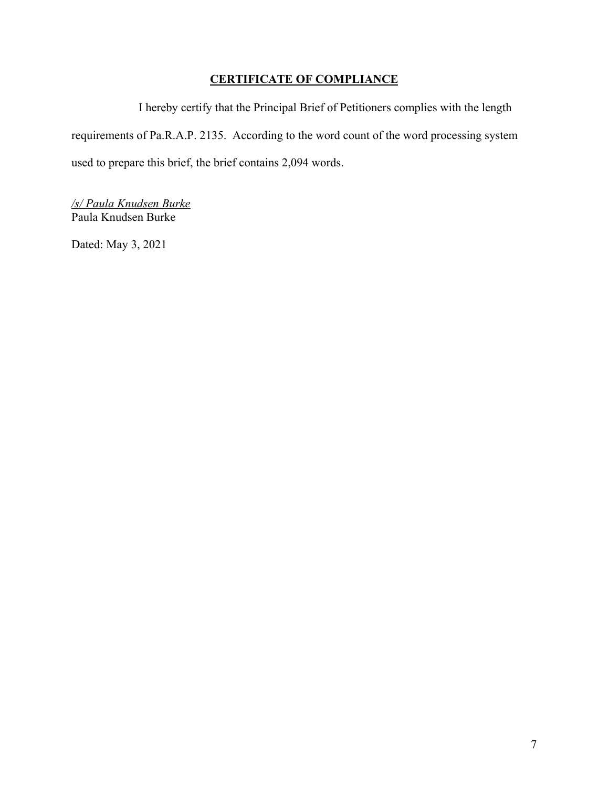## **CERTIFICATE OF COMPLIANCE**

I hereby certify that the Principal Brief of Petitioners complies with the length requirements of Pa.R.A.P. 2135. According to the word count of the word processing system used to prepare this brief, the brief contains 2,094 words.

*/s/ Paula Knudsen Burke* Paula Knudsen Burke

Dated: May 3, 2021